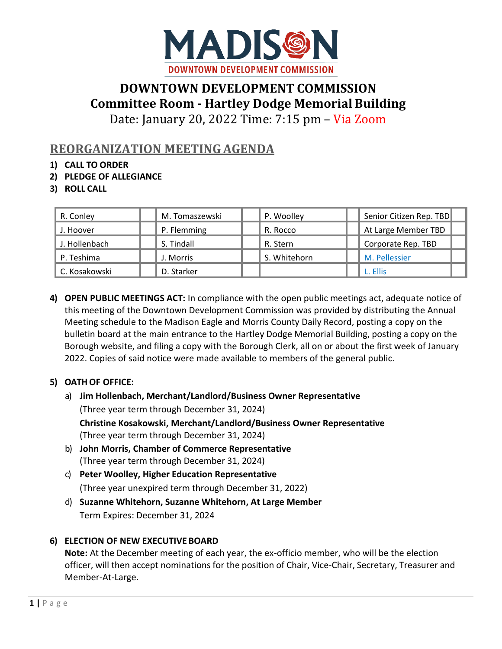

# **DOWNTOWN DEVELOPMENT COMMISSION Committee Room - Hartley Dodge MemorialBuilding**

Date: January 20, 2022 Time: 7:15 pm – Via Zoom

# **REORGANIZATION MEETING AGENDA**

- **1) CALL TO ORDER**
- **2) PLEDGE OF ALLEGIANCE**
- **3) ROLL CALL**

| R. Conley     | M. Tomaszewski | P. Woolley   | Senior Citizen Rep. TBD |
|---------------|----------------|--------------|-------------------------|
| J. Hoover     | P. Flemming    | R. Rocco     | At Large Member TBD     |
| J. Hollenbach | S. Tindall     | R. Stern     | Corporate Rep. TBD      |
| P. Teshima    | J. Morris      | S. Whitehorn | M. Pellessier           |
| C. Kosakowski | D. Starker     |              | L. Ellis                |

**4) OPEN PUBLIC MEETINGS ACT:** In compliance with the open public meetings act, adequate notice of this meeting of the Downtown Development Commission was provided by distributing the Annual Meeting schedule to the Madison Eagle and Morris County Daily Record, posting a copy on the bulletin board at the main entrance to the Hartley Dodge Memorial Building, posting a copy on the Borough website, and filing a copy with the Borough Clerk, all on or about the first week of January 2022. Copies of said notice were made available to members of the general public.

#### **5) OATH OF OFFICE:**

- a) **Jim Hollenbach, Merchant/Landlord/Business Owner Representative** (Three year term through December 31, 2024) **Christine Kosakowski, Merchant/Landlord/Business Owner Representative** (Three year term through December 31, 2024)
- b) **John Morris, Chamber of Commerce Representative**  (Three year term through December 31, 2024)
- c) **Peter Woolley, Higher Education Representative** (Three year unexpired term through December 31, 2022)
- d) **Suzanne Whitehorn, Suzanne Whitehorn, At Large Member** Term Expires: December 31, 2024

# **6) ELECTION OF NEW EXECUTIVE BOARD**

**Note:** At the December meeting of each year, the ex-officio member, who will be the election officer, will then accept nominations for the position of Chair, Vice-Chair, Secretary, Treasurer and Member-At-Large.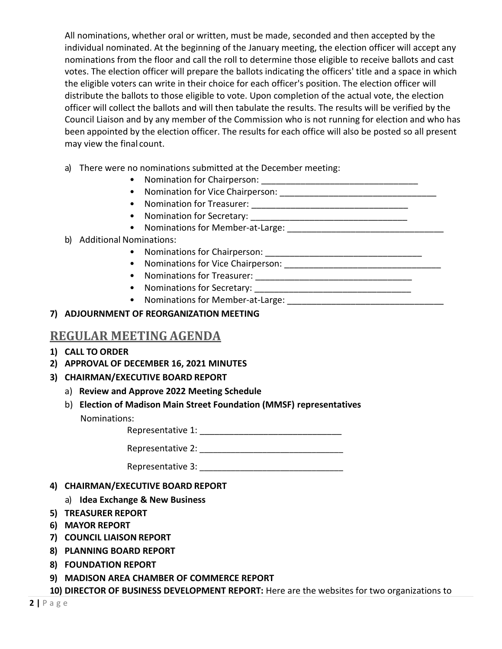All nominations, whether oral or written, must be made, seconded and then accepted by the individual nominated. At the beginning of the January meeting, the election officer will accept any nominations from the floor and call the roll to determine those eligible to receive ballots and cast votes. The election officer will prepare the ballots indicating the officers' title and a space in which the eligible voters can write in their choice for each officer's position. The election officer will distribute the ballots to those eligible to vote. Upon completion of the actual vote, the election officer will collect the ballots and will then tabulate the results. The results will be verified by the Council Liaison and by any member of the Commission who is not running for election and who has been appointed by the election officer. The results for each office will also be posted so all present may view the final count.

- a) There were no nominations submitted at the December meeting:
	- Nomination for Chairperson: \_\_\_\_\_\_\_\_\_\_\_\_\_\_\_\_\_\_\_\_\_\_\_\_\_\_\_\_\_\_\_\_
	- Nomination for Vice Chairperson: \_\_\_\_\_\_\_\_\_\_\_\_\_\_\_\_\_\_\_\_\_\_\_\_\_\_\_\_\_\_\_\_
	- Nomination for Treasurer: \_\_\_\_\_\_\_\_\_\_\_\_\_\_\_\_\_\_\_\_\_\_\_\_\_\_\_\_\_\_\_\_
	- Nomination for Secretary: \_\_\_\_\_\_\_\_\_\_\_\_\_\_\_\_\_\_\_\_\_\_\_\_\_\_\_\_\_\_\_\_
	- Nominations for Member-at-Large: \_\_\_\_\_\_\_\_\_\_\_\_\_\_\_\_\_\_\_\_\_\_\_\_\_\_\_\_\_\_\_\_
- b) Additional Nominations:
	- Nominations for Chairperson: **Example 2018**
	- Nominations for Vice Chairperson: **Example 2018**
	- Nominations for Treasurer: \_\_\_\_\_\_\_\_\_\_\_\_\_\_\_\_\_\_\_\_\_\_\_\_\_\_\_\_\_\_\_\_
	- Nominations for Secretary:
	- Nominations for Member-at-Large: \_\_\_\_\_\_\_\_\_\_\_\_\_\_\_\_\_\_\_\_\_\_\_\_\_\_\_\_\_\_\_\_

#### **7) ADJOURNMENT OF REORGANIZATION MEETING**

### **REGULAR MEETING AGENDA**

- **1) CALL TO ORDER**
- **2) APPROVAL OF DECEMBER 16, 2021 MINUTES**
- **3) CHAIRMAN/EXECUTIVE BOARD REPORT**
	- a) **Review and Approve 2022 Meeting Schedule**
	- b) **Election of Madison Main Street Foundation (MMSF) representatives** Nominations:

Representative 1:

Representative 2: \_\_\_\_\_\_\_\_\_\_\_\_\_\_\_\_\_\_\_\_\_\_\_\_\_\_\_\_\_\_\_\_

Representative 3: \_\_\_\_\_\_\_\_\_\_\_\_\_\_\_\_\_\_\_\_\_\_\_\_\_\_\_\_\_\_\_\_

- **4) CHAIRMAN/EXECUTIVE BOARD REPORT**
	- a) **Idea Exchange & New Business**
- **5) TREASURER REPORT**
- **6) MAYOR REPORT**
- **7) COUNCIL LIAISON REPORT**
- **8) PLANNING BOARD REPORT**
- **8) FOUNDATION REPORT**
- **9) MADISON AREA CHAMBER OF COMMERCE REPORT**

**10) DIRECTOR OF BUSINESS DEVELOPMENT REPORT:** Here are the websites for two organizations to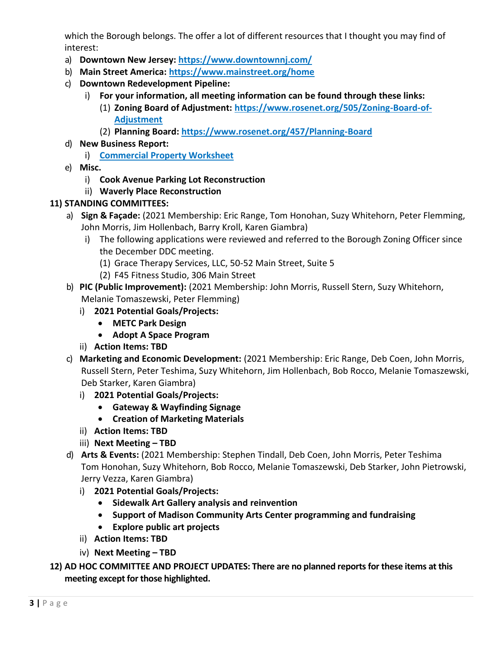which the Borough belongs. The offer a lot of different resources that I thought you may find of interest:

- a) **Downtown New Jersey:<https://www.downtownnj.com/>**
- b) **Main Street America:<https://www.mainstreet.org/home>**
- c) **Downtown Redevelopment Pipeline:**
	- i) **For your information, all meeting information can be found through these links:** 
		- (1) **Zoning Board of Adjustment: [https://www.rosenet.org/505/Zoning-Board-of-](https://www.rosenet.org/505/Zoning-Board-of-Adjustment)[Adjustment](https://www.rosenet.org/505/Zoning-Board-of-Adjustment)**
		- (2) **Planning Board:<https://www.rosenet.org/457/Planning-Board>**
- d) **New Business Report:** 
	- i) **[Commercial Property Worksheet](https://docs.google.com/spreadsheets/d/15_jSpBuGie8XvBRuRokW86XRC8PNtRNO3aDZbkvIQlg/edit#gid=0)**
- e) **Misc.** 
	- i) **Cook Avenue Parking Lot Reconstruction**
	- ii) **Waverly Place Reconstruction**

## **11) STANDING COMMITTEES:**

- a) **Sign & Façade:** (2021 Membership: Eric Range, Tom Honohan, Suzy Whitehorn, Peter Flemming, John Morris, Jim Hollenbach, Barry Kroll, Karen Giambra)
	- i) The following applications were reviewed and referred to the Borough Zoning Officer since the December DDC meeting.
		- (1) Grace Therapy Services, LLC, 50-52 Main Street, Suite 5
		- (2) F45 Fitness Studio, 306 Main Street
- b) **PIC (Public Improvement):** (2021 Membership: John Morris, Russell Stern, Suzy Whitehorn, Melanie Tomaszewski, Peter Flemming)
	- i) **2021 Potential Goals/Projects:**
		- **METC Park Design**
		- **Adopt A Space Program**
	- ii) **Action Items: TBD**
- c) **Marketing and Economic Development:** (2021 Membership: Eric Range, Deb Coen, John Morris, Russell Stern, Peter Teshima, Suzy Whitehorn, Jim Hollenbach, Bob Rocco, Melanie Tomaszewski, Deb Starker, Karen Giambra)
	- i) **2021 Potential Goals/Projects:**
		- **Gateway & Wayfinding Signage**
		- **Creation of Marketing Materials**
	- ii) **Action Items: TBD**
	- iii) **Next Meeting – TBD**
- d) **Arts & Events:** (2021 Membership: Stephen Tindall, Deb Coen, John Morris, Peter Teshima Tom Honohan, Suzy Whitehorn, Bob Rocco, Melanie Tomaszewski, Deb Starker, John Pietrowski, Jerry Vezza, Karen Giambra)
	- i) **2021 Potential Goals/Projects:**
		- **Sidewalk Art Gallery analysis and reinvention**
		- **Support of Madison Community Arts Center programming and fundraising**
		- **Explore public art projects**
	- ii) **Action Items: TBD**
	- iv) **Next Meeting – TBD**
- **12) AD HOC COMMITTEE AND PROJECT UPDATES: There are no planned reports for these items at this meeting except for those highlighted.**